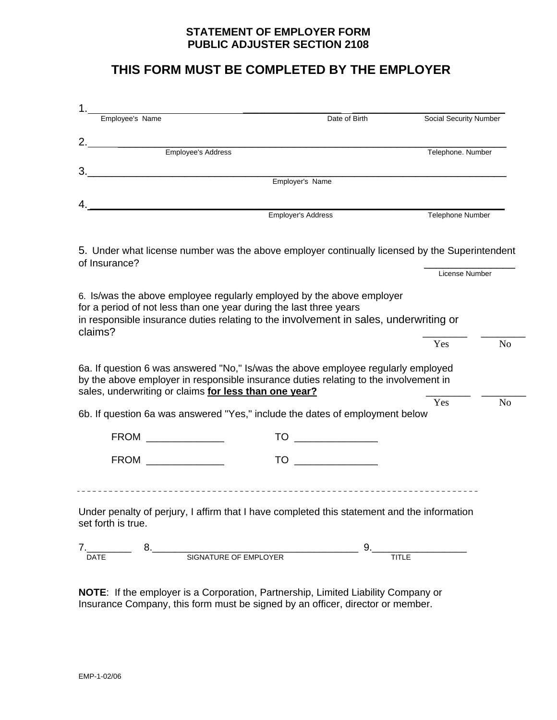### **STATEMENT OF EMPLOYER FORM PUBLIC ADJUSTER SECTION 2108**

## **THIS FORM MUST BE COMPLETED BY THE EMPLOYER**

| Employee's Name                                                                                                                                                                                                                                                                                                                                                                                                                                                                                                                                               | Date of Birth      | Social Security Number |                                  |
|---------------------------------------------------------------------------------------------------------------------------------------------------------------------------------------------------------------------------------------------------------------------------------------------------------------------------------------------------------------------------------------------------------------------------------------------------------------------------------------------------------------------------------------------------------------|--------------------|------------------------|----------------------------------|
| Employee's Address                                                                                                                                                                                                                                                                                                                                                                                                                                                                                                                                            |                    | Telephone. Number      |                                  |
|                                                                                                                                                                                                                                                                                                                                                                                                                                                                                                                                                               | Employer's Name    |                        |                                  |
|                                                                                                                                                                                                                                                                                                                                                                                                                                                                                                                                                               |                    |                        |                                  |
|                                                                                                                                                                                                                                                                                                                                                                                                                                                                                                                                                               | Employer's Address | Telephone Number       |                                  |
| 5. Under what license number was the above employer continually licensed by the Superintendent<br>of Insurance?                                                                                                                                                                                                                                                                                                                                                                                                                                               |                    |                        |                                  |
|                                                                                                                                                                                                                                                                                                                                                                                                                                                                                                                                                               |                    | License Number         |                                  |
| 6. Is/was the above employee regularly employed by the above employer<br>for a period of not less than one year during the last three years                                                                                                                                                                                                                                                                                                                                                                                                                   |                    |                        |                                  |
|                                                                                                                                                                                                                                                                                                                                                                                                                                                                                                                                                               |                    | Yes                    |                                  |
|                                                                                                                                                                                                                                                                                                                                                                                                                                                                                                                                                               |                    |                        |                                  |
|                                                                                                                                                                                                                                                                                                                                                                                                                                                                                                                                                               |                    | Yes                    |                                  |
| in responsible insurance duties relating to the involvement in sales, underwriting or<br>claims?<br>6a. If question 6 was answered "No," Is/was the above employee regularly employed<br>by the above employer in responsible insurance duties relating to the involvement in<br>sales, underwriting or claims for less than one year?<br>6b. If question 6a was answered "Yes," include the dates of employment below<br><b>FROM</b><br><u> 1989 - Jan James James Barnett, politik eta politik eta politik eta politik eta politik eta politik eta poli</u> | TO                 |                        |                                  |
| FROM <b>Example 2008</b>                                                                                                                                                                                                                                                                                                                                                                                                                                                                                                                                      | TO                 |                        | N <sub>o</sub><br>N <sub>o</sub> |
|                                                                                                                                                                                                                                                                                                                                                                                                                                                                                                                                                               |                    |                        |                                  |
| -------------------<br>Under penalty of perjury, I affirm that I have completed this statement and the information<br>set forth is true.                                                                                                                                                                                                                                                                                                                                                                                                                      |                    |                        |                                  |

**NOTE**: If the employer is a Corporation, Partnership, Limited Liability Company or Insurance Company, this form must be signed by an officer, director or member.